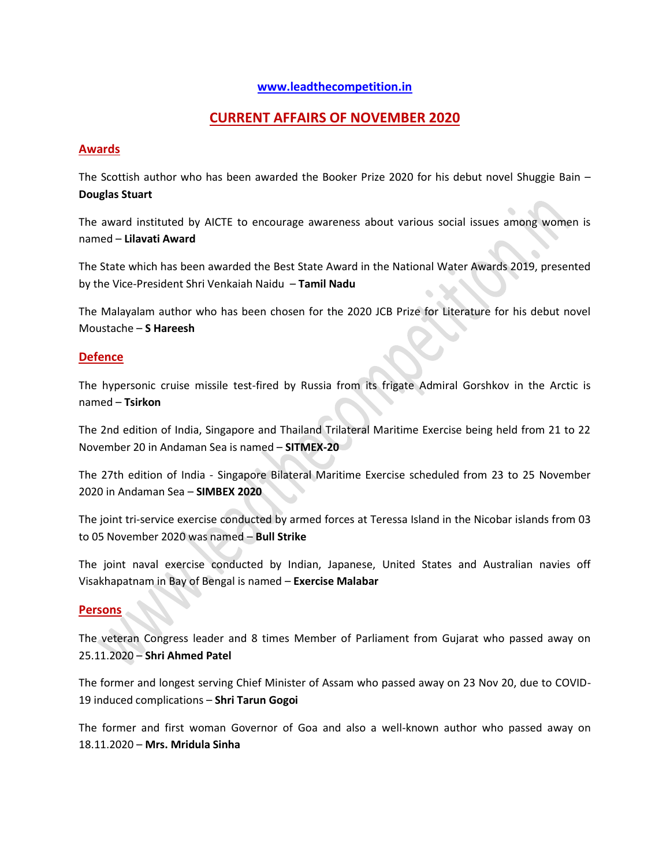#### **[www.leadthecompetition.in](http://www.leadthecompetition.in/)**

## **CURRENT AFFAIRS OF NOVEMBER 2020**

## **Awards**

The Scottish author who has been awarded the Booker Prize 2020 for his debut novel Shuggie Bain – **Douglas Stuart**

The award instituted by AICTE to encourage awareness about various social issues among women is named – **Lilavati Award**

The State which has been awarded the Best State Award in the National Water Awards 2019, presented by the Vice-President Shri Venkaiah Naidu – **Tamil Nadu**

The Malayalam author who has been chosen for the 2020 JCB Prize for Literature for his debut novel Moustache – **S Hareesh**

#### **Defence**

The hypersonic cruise missile test-fired by Russia from its frigate Admiral Gorshkov in the Arctic is named – **Tsirkon**

The 2nd edition of India, Singapore and Thailand Trilateral Maritime Exercise being held from 21 to 22 November 20 in Andaman Sea is named – **SITMEX-20**

The 27th edition of India - Singapore Bilateral Maritime Exercise scheduled from 23 to 25 November 2020 in Andaman Sea – **SIMBEX 2020** 

The joint tri-service exercise conducted by armed forces at Teressa Island in the Nicobar islands from 03 to 05 November 2020 was named – **Bull Strike**

The joint naval exercise conducted by Indian, Japanese, United States and Australian navies off Visakhapatnam in Bay of Bengal is named – **Exercise Malabar**

#### **Persons**

The veteran Congress leader and 8 times Member of Parliament from Gujarat who passed away on 25.11.2020 – **Shri Ahmed Patel**

The former and longest serving Chief Minister of Assam who passed away on 23 Nov 20, due to COVID-19 induced complications – **Shri Tarun Gogoi** 

The former and first woman Governor of Goa and also a well-known author who passed away on 18.11.2020 – **Mrs. Mridula Sinha**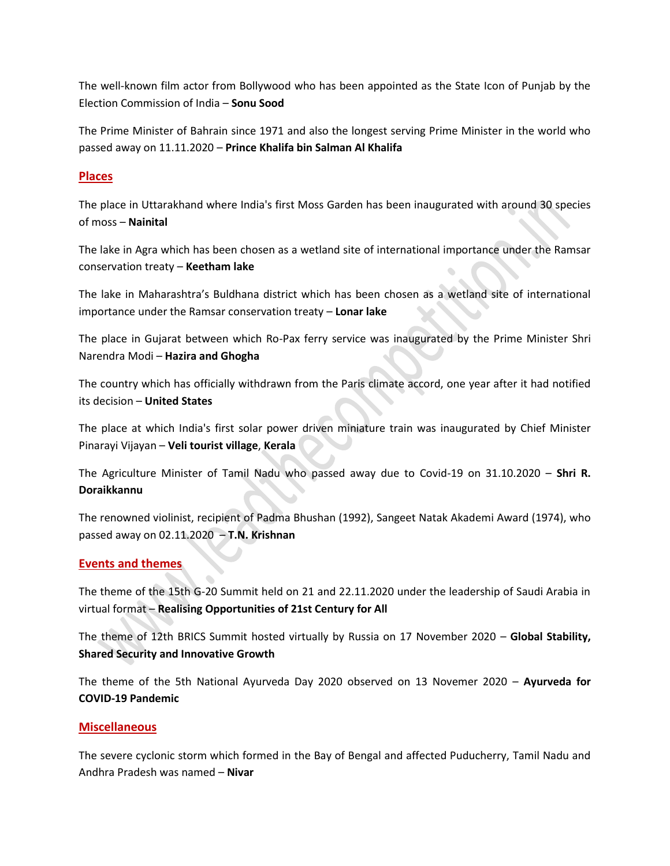The well-known film actor from Bollywood who has been appointed as the State Icon of Punjab by the Election Commission of India – **Sonu Sood**

The Prime Minister of Bahrain since 1971 and also the longest serving Prime Minister in the world who passed away on 11.11.2020 – **Prince Khalifa bin Salman Al Khalifa** 

## **Places**

The place in Uttarakhand where India's first Moss Garden has been inaugurated with around 30 species of moss – **Nainital**

The lake in Agra which has been chosen as a wetland site of international importance under the Ramsar conservation treaty – **Keetham lake**

The lake in Maharashtra's Buldhana district which has been chosen as a wetland site of international importance under the Ramsar conservation treaty – **Lonar lake**

The place in Gujarat between which Ro-Pax ferry service was inaugurated by the Prime Minister Shri Narendra Modi – **Hazira and Ghogha**

The country which has officially withdrawn from the Paris climate accord, one year after it had notified its decision – **United States**

The place at which India's first solar power driven miniature train was inaugurated by Chief Minister Pinarayi Vijayan – **Veli tourist village**, **Kerala**

The Agriculture Minister of Tamil Nadu who passed away due to Covid-19 on 31.10.2020 – **Shri R. Doraikkannu**

The renowned violinist, recipient of Padma Bhushan (1992), Sangeet Natak Akademi Award (1974), who passed away on 02.11.2020 – **T.N. Krishnan**

## **Events and themes**

The theme of the 15th G-20 Summit held on 21 and 22.11.2020 under the leadership of Saudi Arabia in virtual format – **Realising Opportunities of 21st Century for All**

The theme of 12th BRICS Summit hosted virtually by Russia on 17 November 2020 – **Global Stability, Shared Security and Innovative Growth**

The theme of the 5th National Ayurveda Day 2020 observed on 13 Novemer 2020 – **Ayurveda for COVID-19 Pandemic** 

#### **Miscellaneous**

The severe cyclonic storm which formed in the Bay of Bengal and affected Puducherry, Tamil Nadu and Andhra Pradesh was named – **Nivar**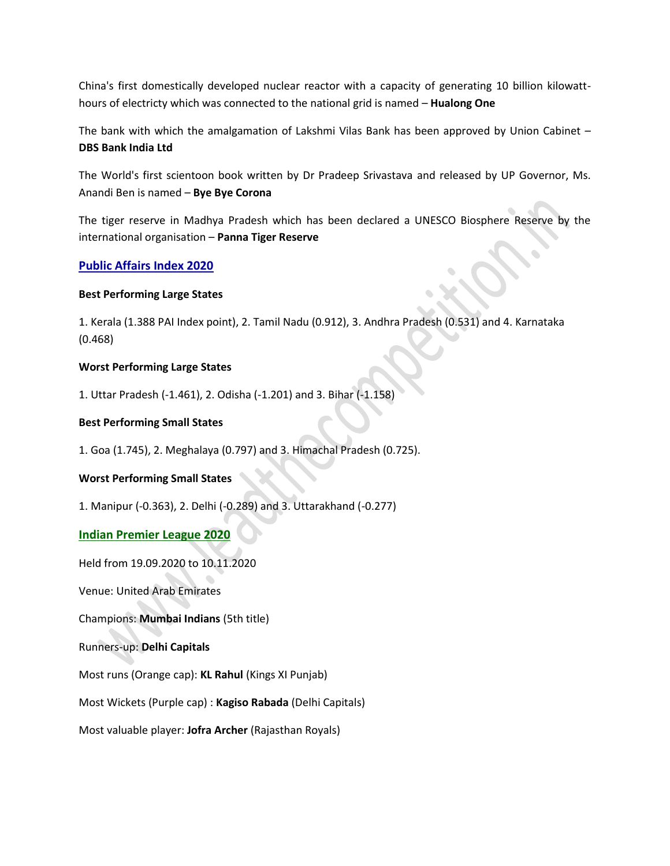China's first domestically developed nuclear reactor with a capacity of generating 10 billion kilowatthours of electricty which was connected to the national grid is named – **Hualong One**

The bank with which the amalgamation of Lakshmi Vilas Bank has been approved by Union Cabinet – **DBS Bank India Ltd**

The World's first scientoon book written by Dr Pradeep Srivastava and released by UP Governor, Ms. Anandi Ben is named – **Bye Bye Corona**

The tiger reserve in Madhya Pradesh which has been declared a UNESCO Biosphere Reserve by the international organisation – **Panna Tiger Reserve**

## **Public Affairs Index 2020**

#### **Best Performing Large States**

1. Kerala (1.388 PAI Index point), 2. Tamil Nadu (0.912), 3. Andhra Pradesh (0.531) and 4. Karnataka (0.468)

#### **Worst Performing Large States**

1. Uttar Pradesh (-1.461), 2. Odisha (-1.201) and 3. Bihar (-1.158)

#### **Best Performing Small States**

1. Goa (1.745), 2. Meghalaya (0.797) and 3. Himachal Pradesh (0.725).

#### **Worst Performing Small States**

1. Manipur (-0.363), 2. Delhi (-0.289) and 3. Uttarakhand (-0.277)

#### **Indian Premier League 2020**

Held from 19.09.2020 to 10.11.2020

Venue: United Arab Emirates

Champions: **Mumbai Indians** (5th title)

#### Runners-up: **Delhi Capitals**

Most runs (Orange cap): **KL Rahul** (Kings XI Punjab)

Most Wickets (Purple cap) : **Kagiso Rabada** (Delhi Capitals)

Most valuable player: **Jofra Archer** (Rajasthan Royals)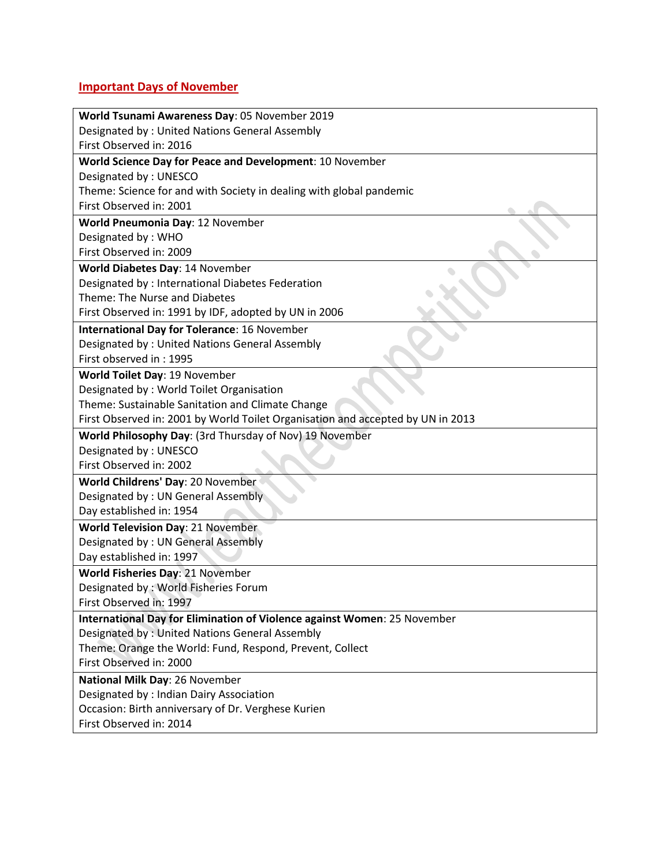# **Important Days of November**

| World Tsunami Awareness Day: 05 November 2019                                   |
|---------------------------------------------------------------------------------|
| Designated by: United Nations General Assembly                                  |
| First Observed in: 2016                                                         |
| World Science Day for Peace and Development: 10 November                        |
| Designated by: UNESCO                                                           |
| Theme: Science for and with Society in dealing with global pandemic             |
| First Observed in: 2001                                                         |
| World Pneumonia Day: 12 November                                                |
| Designated by: WHO                                                              |
| First Observed in: 2009                                                         |
| World Diabetes Day: 14 November                                                 |
| Designated by : International Diabetes Federation                               |
| Theme: The Nurse and Diabetes                                                   |
| First Observed in: 1991 by IDF, adopted by UN in 2006                           |
| <b>International Day for Tolerance: 16 November</b>                             |
| Designated by: United Nations General Assembly                                  |
| First observed in: 1995                                                         |
| World Toilet Day: 19 November                                                   |
| Designated by: World Toilet Organisation                                        |
| Theme: Sustainable Sanitation and Climate Change                                |
| First Observed in: 2001 by World Toilet Organisation and accepted by UN in 2013 |
| World Philosophy Day: (3rd Thursday of Nov) 19 November                         |
| Designated by: UNESCO                                                           |
| First Observed in: 2002                                                         |
| World Childrens' Day: 20 November                                               |
| Designated by: UN General Assembly                                              |
| Day established in: 1954                                                        |
| <b>World Television Day: 21 November</b>                                        |
| Designated by: UN General Assembly                                              |
| Day established in: 1997                                                        |
| World Fisheries Day: 21 November                                                |
| Designated by: World Fisheries Forum                                            |
| First Observed in: 1997                                                         |
| International Day for Elimination of Violence against Women: 25 November        |
| Designated by: United Nations General Assembly                                  |
| Theme: Orange the World: Fund, Respond, Prevent, Collect                        |
| First Observed in: 2000                                                         |
| National Milk Day: 26 November                                                  |
| Designated by : Indian Dairy Association                                        |
| Occasion: Birth anniversary of Dr. Verghese Kurien                              |
| First Observed in: 2014                                                         |
|                                                                                 |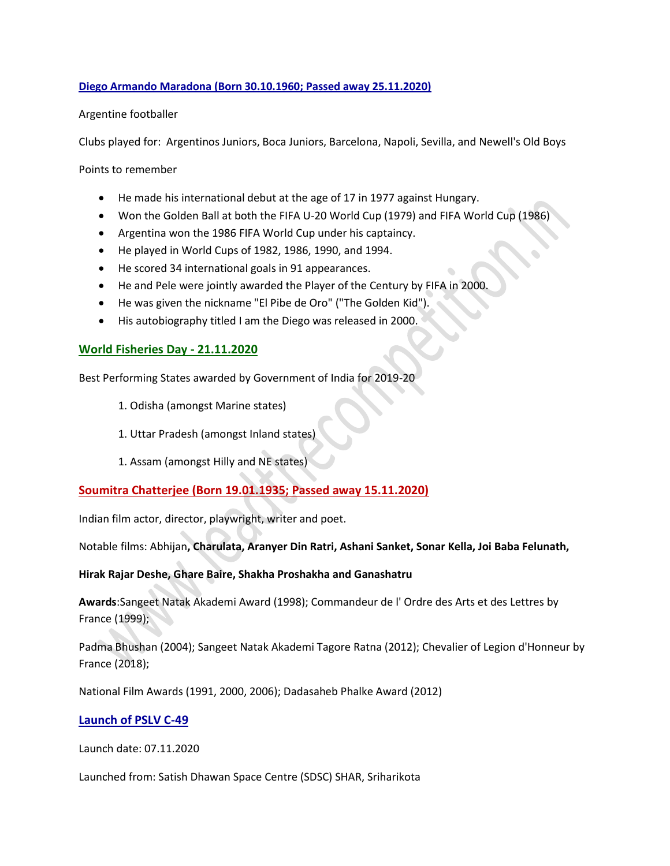#### **Diego Armando Maradona (Born 30.10.1960; Passed away 25.11.2020)**

#### Argentine footballer

Clubs played for: Argentinos Juniors, Boca Juniors, Barcelona, Napoli, Sevilla, and Newell's Old Boys

Points to remember

- He made his international debut at the age of 17 in 1977 against Hungary.
- Won the Golden Ball at both the FIFA U-20 World Cup (1979) and FIFA World Cup (1986)
- Argentina won the 1986 FIFA World Cup under his captaincy.
- He played in World Cups of 1982, 1986, 1990, and 1994.
- He scored 34 international goals in 91 appearances.
- He and Pele were jointly awarded the Player of the Century by FIFA in 2000.
- He was given the nickname "El Pibe de Oro" ("The Golden Kid").
- His autobiography titled I am the Diego was released in 2000.

## **World Fisheries Day - 21.11.2020**

Best Performing States awarded by Government of India for 2019-20

- 1. Odisha (amongst Marine states)
- 1. Uttar Pradesh (amongst Inland states)
- 1. Assam (amongst Hilly and NE states)

## **Soumitra Chatterjee (Born 19.01.1935; Passed away 15.11.2020)**

Indian film actor, director, playwright, writer and poet.

Notable films: Abhijan**, Charulata, Aranyer Din Ratri, Ashani Sanket, Sonar Kella, Joi Baba Felunath,** 

#### **Hirak Rajar Deshe, Ghare Baire, Shakha Proshakha and Ganashatru**

**Awards**:Sangeet Natak Akademi Award (1998); Commandeur de l' Ordre des Arts et des Lettres by France (1999);

Padma Bhushan (2004); Sangeet Natak Akademi Tagore Ratna (2012); Chevalier of Legion d'Honneur by France (2018);

National Film Awards (1991, 2000, 2006); Dadasaheb Phalke Award (2012)

## **Launch of PSLV C-49**

Launch date: 07.11.2020

Launched from: Satish Dhawan Space Centre (SDSC) SHAR, Sriharikota